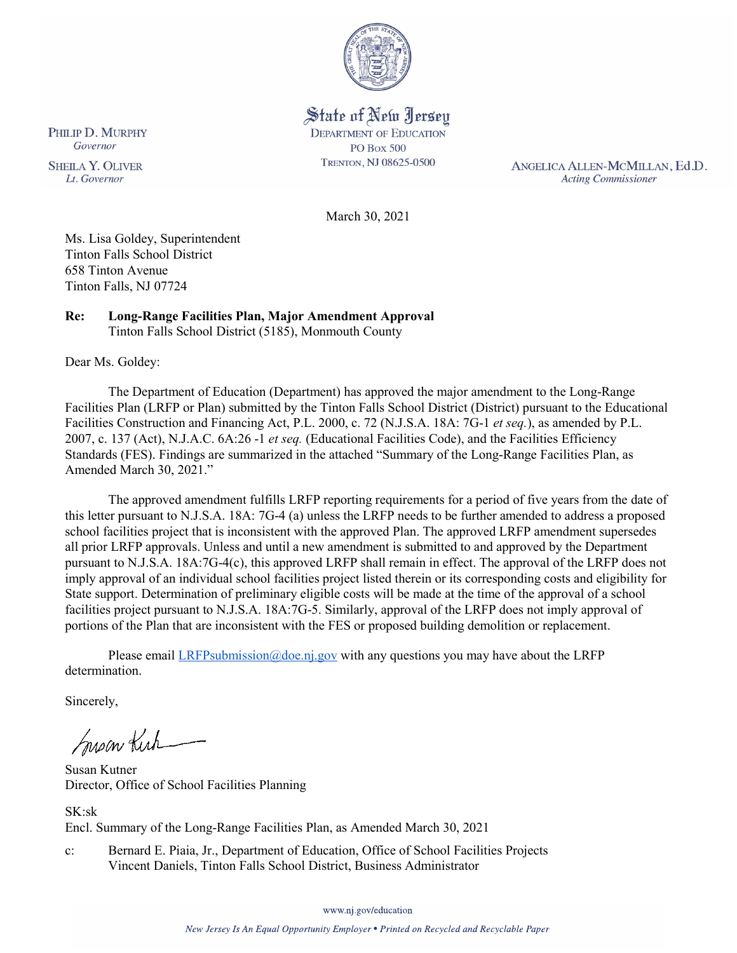

State of New Jersey **DEPARTMENT OF EDUCATION PO Box 500** TRENTON, NJ 08625-0500

ANGELICA ALLEN-MCMILLAN, Ed.D. **Acting Commissioner** 

March 30, 2021

Ms. Lisa Goldey, Superintendent Tinton Falls School District 658 Tinton Avenue Tinton Falls, NJ 07724

### **Re: Long-Range Facilities Plan, Major Amendment Approval**  Tinton Falls School District (5185), Monmouth County

Dear Ms. Goldey:

The Department of Education (Department) has approved the major amendment to the Long-Range Facilities Plan (LRFP or Plan) submitted by the Tinton Falls School District (District) pursuant to the Educational Facilities Construction and Financing Act, P.L. 2000, c. 72 (N.J.S.A. 18A: 7G-1 *et seq.*), as amended by P.L. 2007, c. 137 (Act), N.J.A.C. 6A:26 -1 *et seq.* (Educational Facilities Code), and the Facilities Efficiency Standards (FES). Findings are summarized in the attached "Summary of the Long-Range Facilities Plan, as Amended March 30, 2021."

The approved amendment fulfills LRFP reporting requirements for a period of five years from the date of this letter pursuant to N.J.S.A. 18A: 7G-4 (a) unless the LRFP needs to be further amended to address a proposed school facilities project that is inconsistent with the approved Plan. The approved LRFP amendment supersedes all prior LRFP approvals. Unless and until a new amendment is submitted to and approved by the Department pursuant to N.J.S.A. 18A:7G-4(c), this approved LRFP shall remain in effect. The approval of the LRFP does not imply approval of an individual school facilities project listed therein or its corresponding costs and eligibility for State support. Determination of preliminary eligible costs will be made at the time of the approval of a school facilities project pursuant to N.J.S.A. 18A:7G-5. Similarly, approval of the LRFP does not imply approval of portions of the Plan that are inconsistent with the FES or proposed building demolition or replacement.

Please email  $LRFP submission@doe.nj.gov$  with any questions you may have about the LRFP determination.

Sincerely,

Susan Kich

Susan Kutner Director, Office of School Facilities Planning

SK:sk Encl. Summary of the Long-Range Facilities Plan, as Amended March 30, 2021

c: Bernard E. Piaia, Jr., Department of Education, Office of School Facilities Projects Vincent Daniels, Tinton Falls School District, Business Administrator

www.nj.gov/education

PHILIP D. MURPHY Governor

**SHEILA Y. OLIVER** Lt. Governor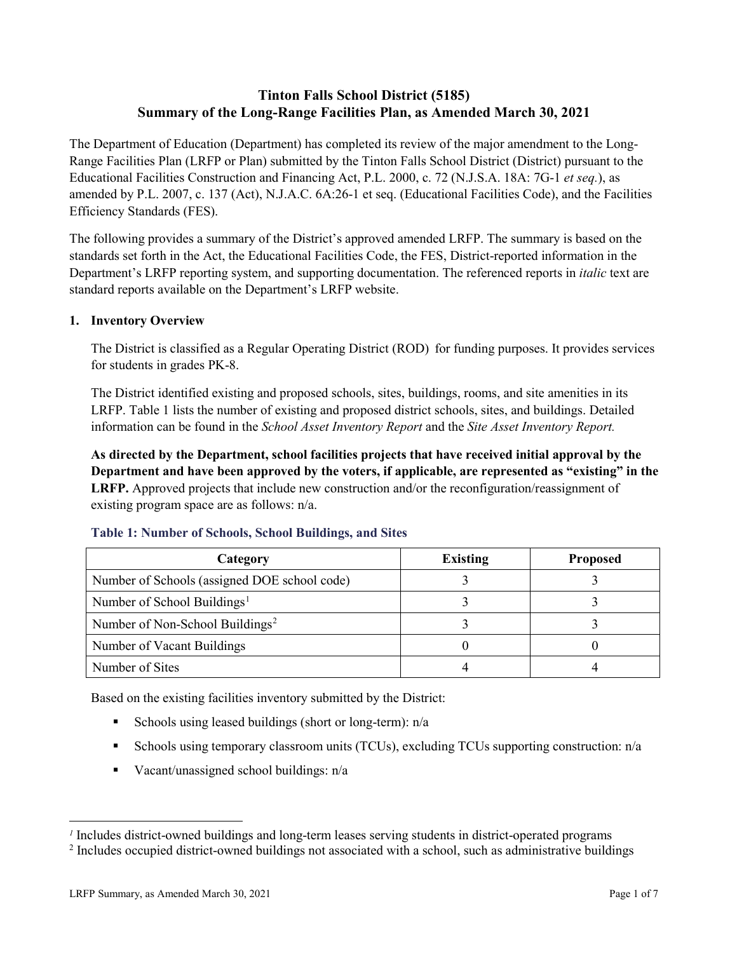# **Tinton Falls School District (5185) Summary of the Long-Range Facilities Plan, as Amended March 30, 2021**

The Department of Education (Department) has completed its review of the major amendment to the Long-Range Facilities Plan (LRFP or Plan) submitted by the Tinton Falls School District (District) pursuant to the Educational Facilities Construction and Financing Act, P.L. 2000, c. 72 (N.J.S.A. 18A: 7G-1 *et seq.*), as amended by P.L. 2007, c. 137 (Act), N.J.A.C. 6A:26-1 et seq. (Educational Facilities Code), and the Facilities Efficiency Standards (FES).

The following provides a summary of the District's approved amended LRFP. The summary is based on the standards set forth in the Act, the Educational Facilities Code, the FES, District-reported information in the Department's LRFP reporting system, and supporting documentation. The referenced reports in *italic* text are standard reports available on the Department's LRFP website.

### **1. Inventory Overview**

The District is classified as a Regular Operating District (ROD) for funding purposes. It provides services for students in grades PK-8.

The District identified existing and proposed schools, sites, buildings, rooms, and site amenities in its LRFP. Table 1 lists the number of existing and proposed district schools, sites, and buildings. Detailed information can be found in the *School Asset Inventory Report* and the *Site Asset Inventory Report.*

**As directed by the Department, school facilities projects that have received initial approval by the Department and have been approved by the voters, if applicable, are represented as "existing" in the LRFP.** Approved projects that include new construction and/or the reconfiguration/reassignment of existing program space are as follows: n/a.

| Category                                     | <b>Existing</b> | <b>Proposed</b> |
|----------------------------------------------|-----------------|-----------------|
| Number of Schools (assigned DOE school code) |                 |                 |
| Number of School Buildings <sup>1</sup>      |                 |                 |
| Number of Non-School Buildings <sup>2</sup>  |                 |                 |
| Number of Vacant Buildings                   |                 |                 |
| Number of Sites                              |                 |                 |

### **Table 1: Number of Schools, School Buildings, and Sites**

Based on the existing facilities inventory submitted by the District:

- Schools using leased buildings (short or long-term):  $n/a$
- Schools using temporary classroom units (TCUs), excluding TCUs supporting construction: n/a
- Vacant/unassigned school buildings:  $n/a$

 $\overline{a}$ 

<span id="page-1-1"></span><span id="page-1-0"></span>*<sup>1</sup>* Includes district-owned buildings and long-term leases serving students in district-operated programs

<sup>&</sup>lt;sup>2</sup> Includes occupied district-owned buildings not associated with a school, such as administrative buildings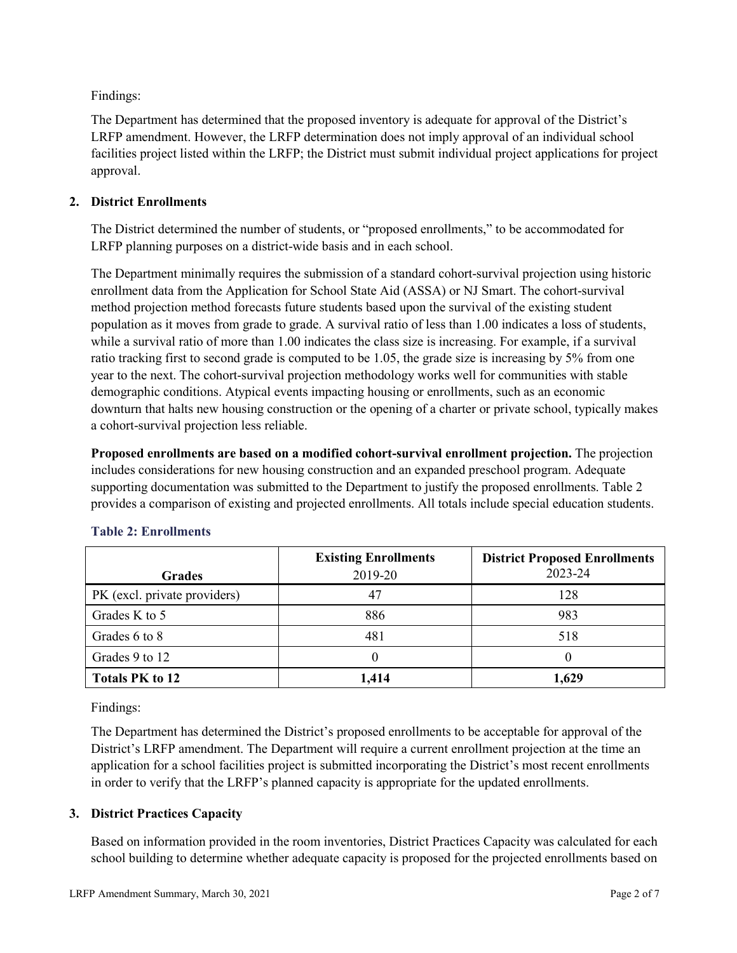Findings:

The Department has determined that the proposed inventory is adequate for approval of the District's LRFP amendment. However, the LRFP determination does not imply approval of an individual school facilities project listed within the LRFP; the District must submit individual project applications for project approval.

# **2. District Enrollments**

The District determined the number of students, or "proposed enrollments," to be accommodated for LRFP planning purposes on a district-wide basis and in each school.

The Department minimally requires the submission of a standard cohort-survival projection using historic enrollment data from the Application for School State Aid (ASSA) or NJ Smart. The cohort-survival method projection method forecasts future students based upon the survival of the existing student population as it moves from grade to grade. A survival ratio of less than 1.00 indicates a loss of students, while a survival ratio of more than 1.00 indicates the class size is increasing. For example, if a survival ratio tracking first to second grade is computed to be 1.05, the grade size is increasing by 5% from one year to the next. The cohort-survival projection methodology works well for communities with stable demographic conditions. Atypical events impacting housing or enrollments, such as an economic downturn that halts new housing construction or the opening of a charter or private school, typically makes a cohort-survival projection less reliable.

**Proposed enrollments are based on a modified cohort-survival enrollment projection.** The projection includes considerations for new housing construction and an expanded preschool program. Adequate supporting documentation was submitted to the Department to justify the proposed enrollments. Table 2 provides a comparison of existing and projected enrollments. All totals include special education students.

|                              | <b>Existing Enrollments</b> | <b>District Proposed Enrollments</b> |
|------------------------------|-----------------------------|--------------------------------------|
| <b>Grades</b>                | 2019-20                     | 2023-24                              |
| PK (excl. private providers) |                             | 128                                  |
| Grades K to 5                | 886                         | 983                                  |
| Grades 6 to 8                | 481                         | 518                                  |
| Grades 9 to 12               |                             |                                      |
| <b>Totals PK to 12</b>       | 1,414                       | 1,629                                |

# **Table 2: Enrollments**

Findings:

The Department has determined the District's proposed enrollments to be acceptable for approval of the District's LRFP amendment. The Department will require a current enrollment projection at the time an application for a school facilities project is submitted incorporating the District's most recent enrollments in order to verify that the LRFP's planned capacity is appropriate for the updated enrollments.

# **3. District Practices Capacity**

Based on information provided in the room inventories, District Practices Capacity was calculated for each school building to determine whether adequate capacity is proposed for the projected enrollments based on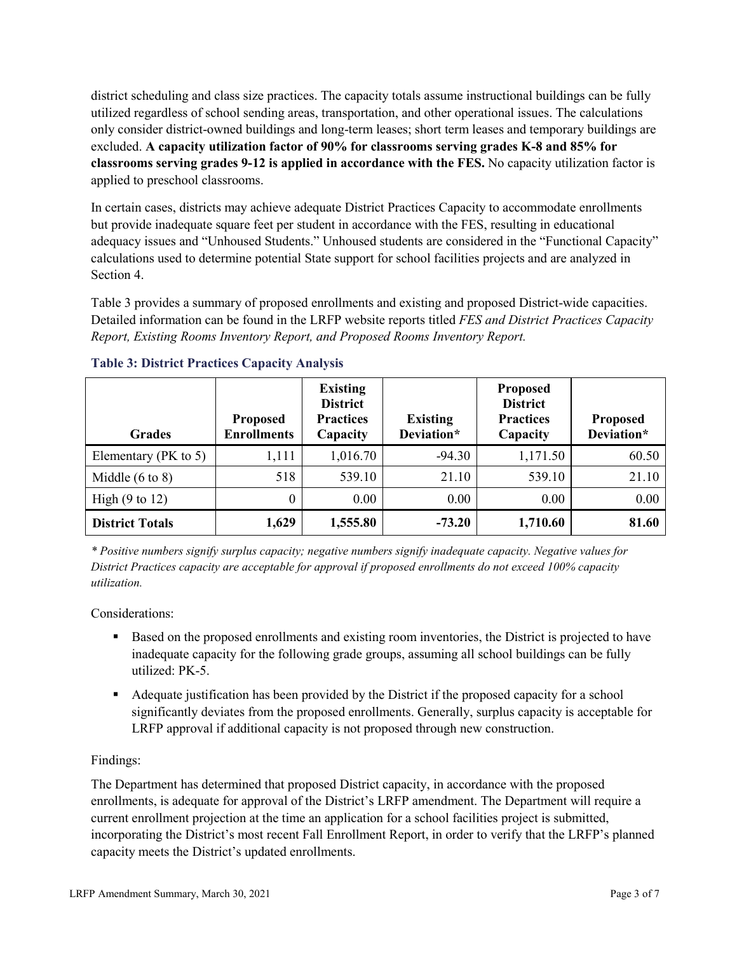district scheduling and class size practices. The capacity totals assume instructional buildings can be fully utilized regardless of school sending areas, transportation, and other operational issues. The calculations only consider district-owned buildings and long-term leases; short term leases and temporary buildings are excluded. **A capacity utilization factor of 90% for classrooms serving grades K-8 and 85% for classrooms serving grades 9-12 is applied in accordance with the FES.** No capacity utilization factor is applied to preschool classrooms.

In certain cases, districts may achieve adequate District Practices Capacity to accommodate enrollments but provide inadequate square feet per student in accordance with the FES, resulting in educational adequacy issues and "Unhoused Students." Unhoused students are considered in the "Functional Capacity" calculations used to determine potential State support for school facilities projects and are analyzed in Section 4.

Table 3 provides a summary of proposed enrollments and existing and proposed District-wide capacities. Detailed information can be found in the LRFP website reports titled *FES and District Practices Capacity Report, Existing Rooms Inventory Report, and Proposed Rooms Inventory Report.*

| <b>Grades</b>              | <b>Proposed</b><br><b>Enrollments</b> | <b>Existing</b><br><b>District</b><br><b>Practices</b><br>Capacity | <b>Existing</b><br>Deviation* | <b>Proposed</b><br><b>District</b><br><b>Practices</b><br>Capacity | <b>Proposed</b><br>Deviation* |
|----------------------------|---------------------------------------|--------------------------------------------------------------------|-------------------------------|--------------------------------------------------------------------|-------------------------------|
| Elementary ( $PK$ to 5)    | 1,111                                 | 1,016.70                                                           | $-94.30$                      | 1,171.50                                                           | 60.50                         |
| Middle $(6 \text{ to } 8)$ | 518                                   | 539.10                                                             | 21.10                         | 539.10                                                             | 21.10                         |
| High $(9 \text{ to } 12)$  | 0                                     | 0.00                                                               | 0.00                          | 0.00                                                               | 0.00                          |
| <b>District Totals</b>     | 1,629                                 | 1,555.80                                                           | $-73.20$                      | 1,710.60                                                           | 81.60                         |

# **Table 3: District Practices Capacity Analysis**

*\* Positive numbers signify surplus capacity; negative numbers signify inadequate capacity. Negative values for District Practices capacity are acceptable for approval if proposed enrollments do not exceed 100% capacity utilization.*

Considerations:

- Based on the proposed enrollments and existing room inventories, the District is projected to have inadequate capacity for the following grade groups, assuming all school buildings can be fully utilized: PK-5.
- Adequate justification has been provided by the District if the proposed capacity for a school significantly deviates from the proposed enrollments. Generally, surplus capacity is acceptable for LRFP approval if additional capacity is not proposed through new construction.

# Findings:

The Department has determined that proposed District capacity, in accordance with the proposed enrollments, is adequate for approval of the District's LRFP amendment. The Department will require a current enrollment projection at the time an application for a school facilities project is submitted, incorporating the District's most recent Fall Enrollment Report, in order to verify that the LRFP's planned capacity meets the District's updated enrollments.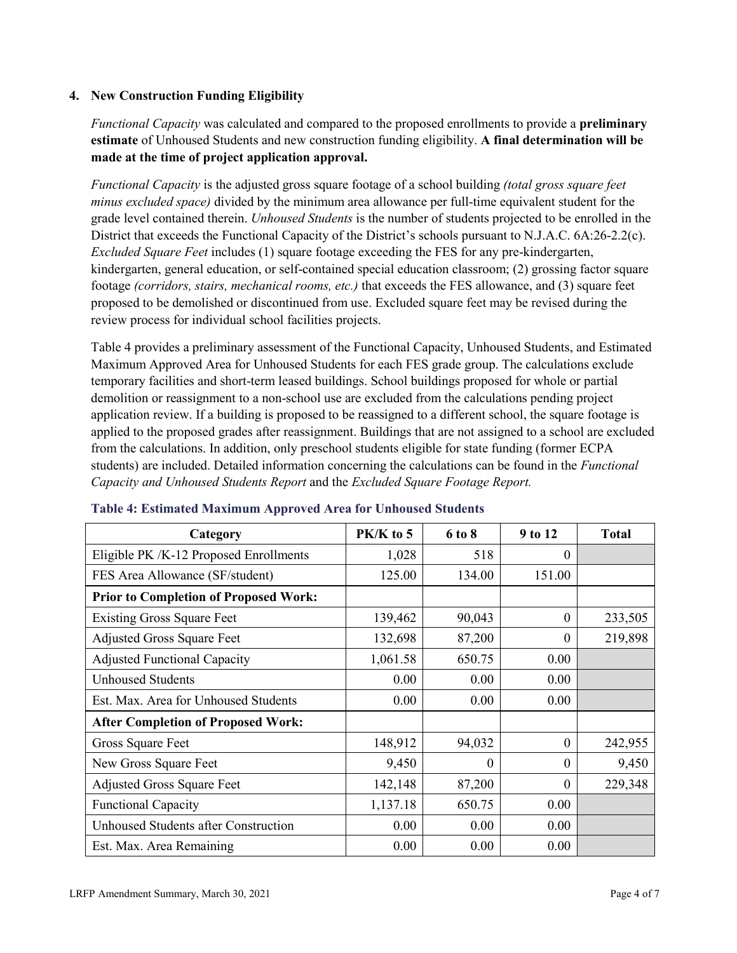### **4. New Construction Funding Eligibility**

*Functional Capacity* was calculated and compared to the proposed enrollments to provide a **preliminary estimate** of Unhoused Students and new construction funding eligibility. **A final determination will be made at the time of project application approval.**

*Functional Capacity* is the adjusted gross square footage of a school building *(total gross square feet minus excluded space)* divided by the minimum area allowance per full-time equivalent student for the grade level contained therein. *Unhoused Students* is the number of students projected to be enrolled in the District that exceeds the Functional Capacity of the District's schools pursuant to N.J.A.C. 6A:26-2.2(c). *Excluded Square Feet* includes (1) square footage exceeding the FES for any pre-kindergarten, kindergarten, general education, or self-contained special education classroom; (2) grossing factor square footage *(corridors, stairs, mechanical rooms, etc.)* that exceeds the FES allowance, and (3) square feet proposed to be demolished or discontinued from use. Excluded square feet may be revised during the review process for individual school facilities projects.

Table 4 provides a preliminary assessment of the Functional Capacity, Unhoused Students, and Estimated Maximum Approved Area for Unhoused Students for each FES grade group. The calculations exclude temporary facilities and short-term leased buildings. School buildings proposed for whole or partial demolition or reassignment to a non-school use are excluded from the calculations pending project application review. If a building is proposed to be reassigned to a different school, the square footage is applied to the proposed grades after reassignment. Buildings that are not assigned to a school are excluded from the calculations. In addition, only preschool students eligible for state funding (former ECPA students) are included. Detailed information concerning the calculations can be found in the *Functional Capacity and Unhoused Students Report* and the *Excluded Square Footage Report.*

| Category                                     | $PK/K$ to 5 | 6 to 8   | 9 to 12  | <b>Total</b> |
|----------------------------------------------|-------------|----------|----------|--------------|
| Eligible PK /K-12 Proposed Enrollments       | 1,028       | 518      | 0        |              |
| FES Area Allowance (SF/student)              | 125.00      | 134.00   | 151.00   |              |
| <b>Prior to Completion of Proposed Work:</b> |             |          |          |              |
| <b>Existing Gross Square Feet</b>            | 139,462     | 90,043   | 0        | 233,505      |
| <b>Adjusted Gross Square Feet</b>            | 132,698     | 87,200   | $\theta$ | 219,898      |
| <b>Adjusted Functional Capacity</b>          | 1,061.58    | 650.75   | 0.00     |              |
| <b>Unhoused Students</b>                     | 0.00        | 0.00     | 0.00     |              |
| Est. Max. Area for Unhoused Students         | 0.00        | 0.00     | 0.00     |              |
| <b>After Completion of Proposed Work:</b>    |             |          |          |              |
| Gross Square Feet                            | 148,912     | 94,032   | $\theta$ | 242,955      |
| New Gross Square Feet                        | 9,450       | $\Omega$ | $\Omega$ | 9,450        |
| <b>Adjusted Gross Square Feet</b>            | 142,148     | 87,200   | $\Omega$ | 229,348      |
| <b>Functional Capacity</b>                   | 1,137.18    | 650.75   | 0.00     |              |
| <b>Unhoused Students after Construction</b>  | 0.00        | 0.00     | 0.00     |              |
| Est. Max. Area Remaining                     | 0.00        | 0.00     | 0.00     |              |

### **Table 4: Estimated Maximum Approved Area for Unhoused Students**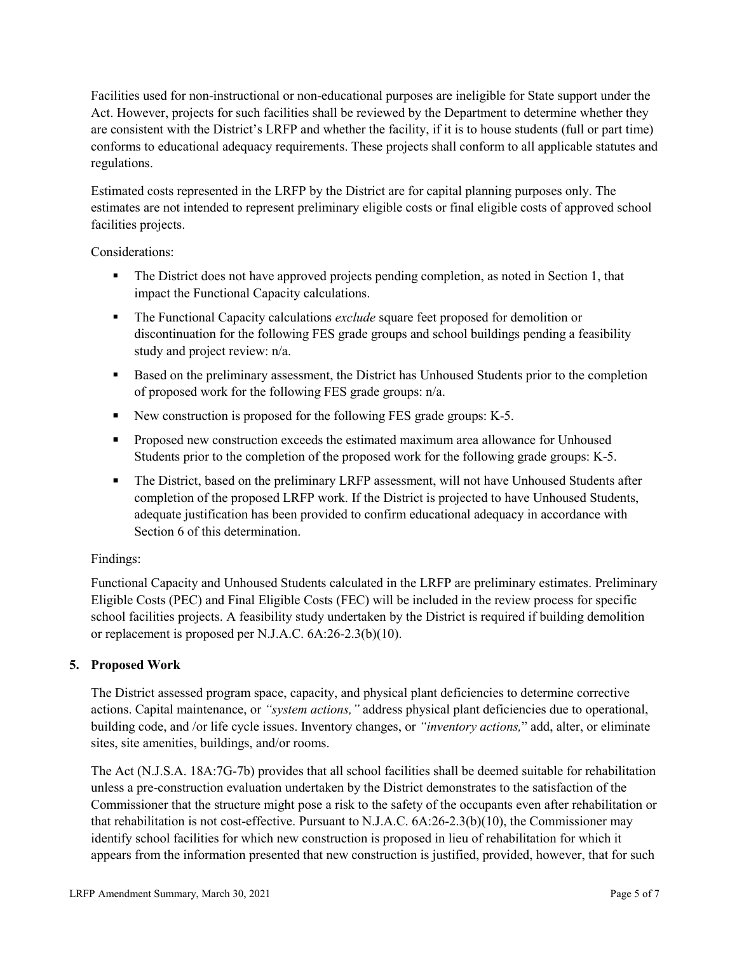Facilities used for non-instructional or non-educational purposes are ineligible for State support under the Act. However, projects for such facilities shall be reviewed by the Department to determine whether they are consistent with the District's LRFP and whether the facility, if it is to house students (full or part time) conforms to educational adequacy requirements. These projects shall conform to all applicable statutes and regulations.

Estimated costs represented in the LRFP by the District are for capital planning purposes only. The estimates are not intended to represent preliminary eligible costs or final eligible costs of approved school facilities projects.

Considerations:

- The District does not have approved projects pending completion, as noted in Section 1, that impact the Functional Capacity calculations.
- **The Functional Capacity calculations** *exclude* square feet proposed for demolition or discontinuation for the following FES grade groups and school buildings pending a feasibility study and project review: n/a.
- Based on the preliminary assessment, the District has Unhoused Students prior to the completion of proposed work for the following FES grade groups: n/a.
- New construction is proposed for the following FES grade groups: K-5.
- Proposed new construction exceeds the estimated maximum area allowance for Unhoused Students prior to the completion of the proposed work for the following grade groups: K-5.
- The District, based on the preliminary LRFP assessment, will not have Unhoused Students after completion of the proposed LRFP work. If the District is projected to have Unhoused Students, adequate justification has been provided to confirm educational adequacy in accordance with Section 6 of this determination.

# Findings:

Functional Capacity and Unhoused Students calculated in the LRFP are preliminary estimates. Preliminary Eligible Costs (PEC) and Final Eligible Costs (FEC) will be included in the review process for specific school facilities projects. A feasibility study undertaken by the District is required if building demolition or replacement is proposed per N.J.A.C. 6A:26-2.3(b)(10).

# **5. Proposed Work**

The District assessed program space, capacity, and physical plant deficiencies to determine corrective actions. Capital maintenance, or *"system actions,"* address physical plant deficiencies due to operational, building code, and /or life cycle issues. Inventory changes, or *"inventory actions,*" add, alter, or eliminate sites, site amenities, buildings, and/or rooms.

The Act (N.J.S.A. 18A:7G-7b) provides that all school facilities shall be deemed suitable for rehabilitation unless a pre-construction evaluation undertaken by the District demonstrates to the satisfaction of the Commissioner that the structure might pose a risk to the safety of the occupants even after rehabilitation or that rehabilitation is not cost-effective. Pursuant to N.J.A.C. 6A:26-2.3(b)(10), the Commissioner may identify school facilities for which new construction is proposed in lieu of rehabilitation for which it appears from the information presented that new construction is justified, provided, however, that for such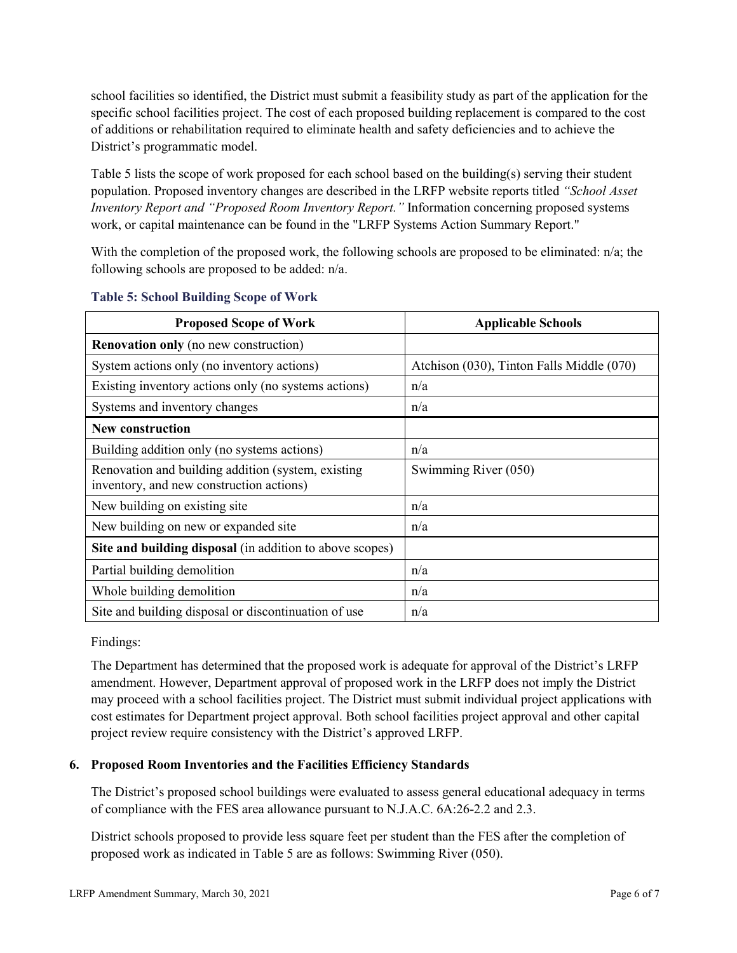school facilities so identified, the District must submit a feasibility study as part of the application for the specific school facilities project. The cost of each proposed building replacement is compared to the cost of additions or rehabilitation required to eliminate health and safety deficiencies and to achieve the District's programmatic model.

Table 5 lists the scope of work proposed for each school based on the building(s) serving their student population. Proposed inventory changes are described in the LRFP website reports titled *"School Asset Inventory Report and "Proposed Room Inventory Report."* Information concerning proposed systems work, or capital maintenance can be found in the "LRFP Systems Action Summary Report."

With the completion of the proposed work, the following schools are proposed to be eliminated: n/a; the following schools are proposed to be added: n/a.

| <b>Proposed Scope of Work</b>                                                                  | <b>Applicable Schools</b>                 |
|------------------------------------------------------------------------------------------------|-------------------------------------------|
| <b>Renovation only</b> (no new construction)                                                   |                                           |
| System actions only (no inventory actions)                                                     | Atchison (030), Tinton Falls Middle (070) |
| Existing inventory actions only (no systems actions)                                           | n/a                                       |
| Systems and inventory changes                                                                  | n/a                                       |
| <b>New construction</b>                                                                        |                                           |
| Building addition only (no systems actions)                                                    | n/a                                       |
| Renovation and building addition (system, existing<br>inventory, and new construction actions) | Swimming River (050)                      |
| New building on existing site.                                                                 | n/a                                       |
| New building on new or expanded site                                                           | n/a                                       |
| Site and building disposal (in addition to above scopes)                                       |                                           |
| Partial building demolition                                                                    | n/a                                       |
| Whole building demolition                                                                      | n/a                                       |
| Site and building disposal or discontinuation of use                                           | n/a                                       |

### **Table 5: School Building Scope of Work**

Findings:

The Department has determined that the proposed work is adequate for approval of the District's LRFP amendment. However, Department approval of proposed work in the LRFP does not imply the District may proceed with a school facilities project. The District must submit individual project applications with cost estimates for Department project approval. Both school facilities project approval and other capital project review require consistency with the District's approved LRFP.

# **6. Proposed Room Inventories and the Facilities Efficiency Standards**

The District's proposed school buildings were evaluated to assess general educational adequacy in terms of compliance with the FES area allowance pursuant to N.J.A.C. 6A:26-2.2 and 2.3.

District schools proposed to provide less square feet per student than the FES after the completion of proposed work as indicated in Table 5 are as follows: Swimming River (050).